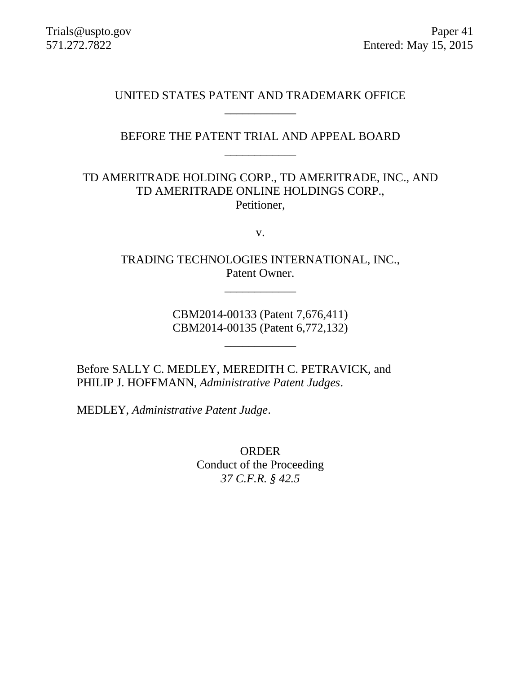## UNITED STATES PATENT AND TRADEMARK OFFICE \_\_\_\_\_\_\_\_\_\_\_\_

# BEFORE THE PATENT TRIAL AND APPEAL BOARD \_\_\_\_\_\_\_\_\_\_\_\_

# TD AMERITRADE HOLDING CORP., TD AMERITRADE, INC., AND TD AMERITRADE ONLINE HOLDINGS CORP., Petitioner,

v.

TRADING TECHNOLOGIES INTERNATIONAL, INC., Patent Owner.

\_\_\_\_\_\_\_\_\_\_\_\_

CBM2014-00133 (Patent 7,676,411) CBM2014-00135 (Patent 6,772,132)

\_\_\_\_\_\_\_\_\_\_\_\_

Before SALLY C. MEDLEY, MEREDITH C. PETRAVICK, and PHILIP J. HOFFMANN, *Administrative Patent Judges*.

MEDLEY, *Administrative Patent Judge*.

ORDER Conduct of the Proceeding *37 C.F.R. § 42.5*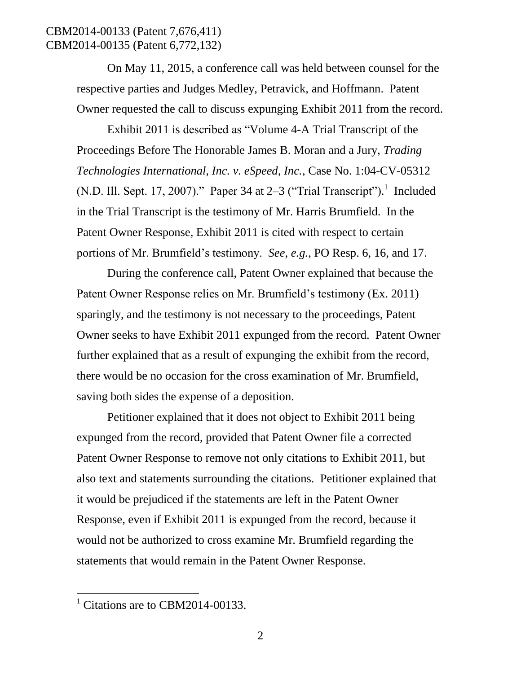## CBM2014-00133 (Patent 7,676,411) CBM2014-00135 (Patent 6,772,132)

On May 11, 2015, a conference call was held between counsel for the respective parties and Judges Medley, Petravick, and Hoffmann. Patent Owner requested the call to discuss expunging Exhibit 2011 from the record.

Exhibit 2011 is described as "Volume 4-A Trial Transcript of the Proceedings Before The Honorable James B. Moran and a Jury, *Trading Technologies International, Inc. v. eSpeed, Inc.*, Case No. 1:04-CV-05312 (N.D. Ill. Sept. 17, 2007)." Paper 34 at  $2-3$  ("Trial Transcript").<sup>1</sup> Included in the Trial Transcript is the testimony of Mr. Harris Brumfield. In the Patent Owner Response, Exhibit 2011 is cited with respect to certain portions of Mr. Brumfield's testimony. *See, e.g.*, PO Resp. 6, 16, and 17.

During the conference call, Patent Owner explained that because the Patent Owner Response relies on Mr. Brumfield's testimony (Ex. 2011) sparingly, and the testimony is not necessary to the proceedings, Patent Owner seeks to have Exhibit 2011 expunged from the record. Patent Owner further explained that as a result of expunging the exhibit from the record, there would be no occasion for the cross examination of Mr. Brumfield, saving both sides the expense of a deposition.

Petitioner explained that it does not object to Exhibit 2011 being expunged from the record, provided that Patent Owner file a corrected Patent Owner Response to remove not only citations to Exhibit 2011, but also text and statements surrounding the citations. Petitioner explained that it would be prejudiced if the statements are left in the Patent Owner Response, even if Exhibit 2011 is expunged from the record, because it would not be authorized to cross examine Mr. Brumfield regarding the statements that would remain in the Patent Owner Response.

 $\overline{a}$ 

 $<sup>1</sup>$  Citations are to CBM2014-00133.</sup>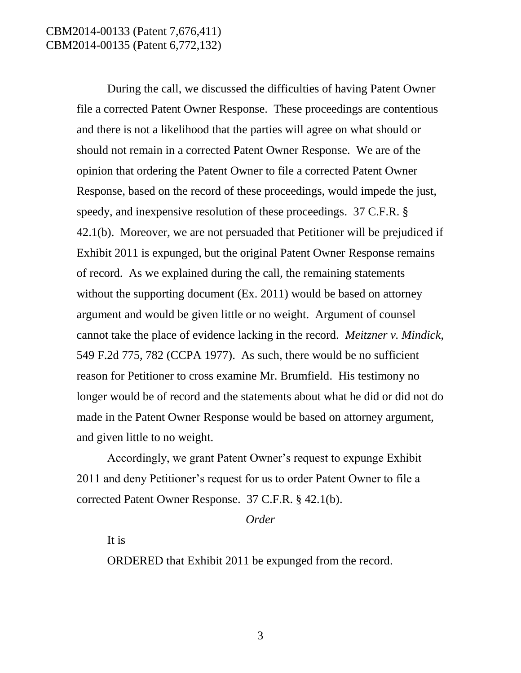### CBM2014-00133 (Patent 7,676,411) CBM2014-00135 (Patent 6,772,132)

During the call, we discussed the difficulties of having Patent Owner file a corrected Patent Owner Response. These proceedings are contentious and there is not a likelihood that the parties will agree on what should or should not remain in a corrected Patent Owner Response. We are of the opinion that ordering the Patent Owner to file a corrected Patent Owner Response, based on the record of these proceedings, would impede the just, speedy, and inexpensive resolution of these proceedings. 37 C.F.R. § 42.1(b). Moreover, we are not persuaded that Petitioner will be prejudiced if Exhibit 2011 is expunged, but the original Patent Owner Response remains of record. As we explained during the call, the remaining statements without the supporting document (Ex. 2011) would be based on attorney argument and would be given little or no weight. Argument of counsel cannot take the place of evidence lacking in the record. *Meitzner v. Mindick*, 549 F.2d 775, 782 (CCPA 1977). As such, there would be no sufficient reason for Petitioner to cross examine Mr. Brumfield. His testimony no longer would be of record and the statements about what he did or did not do made in the Patent Owner Response would be based on attorney argument, and given little to no weight.

Accordingly, we grant Patent Owner's request to expunge Exhibit 2011 and deny Petitioner's request for us to order Patent Owner to file a corrected Patent Owner Response. 37 C.F.R. § 42.1(b).

*Order*

It is

ORDERED that Exhibit 2011 be expunged from the record.